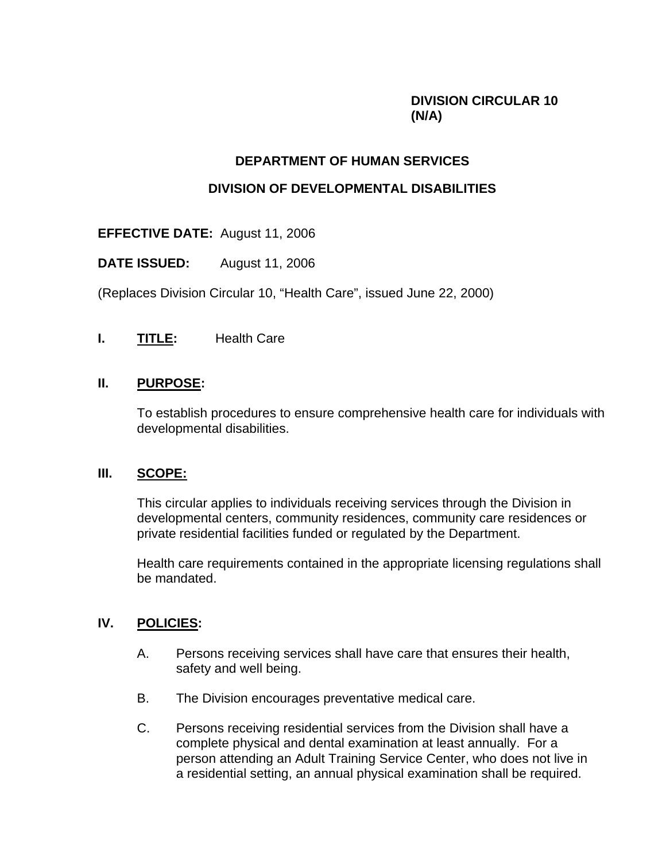# **DIVISION CIRCULAR 10 (N/A)**

#### **DEPARTMENT OF HUMAN SERVICES**

#### **DIVISION OF DEVELOPMENTAL DISABILITIES**

**EFFECTIVE DATE:** August 11, 2006

**DATE ISSUED:** August 11, 2006

(Replaces Division Circular 10, "Health Care", issued June 22, 2000)

**I. TITLE:** Health Care

### **II. PURPOSE:**

To establish procedures to ensure comprehensive health care for individuals with developmental disabilities.

### **III. SCOPE:**

This circular applies to individuals receiving services through the Division in developmental centers, community residences, community care residences or private residential facilities funded or regulated by the Department.

Health care requirements contained in the appropriate licensing regulations shall be mandated.

### **IV. POLICIES:**

- A. Persons receiving services shall have care that ensures their health, safety and well being.
- B. The Division encourages preventative medical care.
- C. Persons receiving residential services from the Division shall have a complete physical and dental examination at least annually. For a person attending an Adult Training Service Center, who does not live in a residential setting, an annual physical examination shall be required.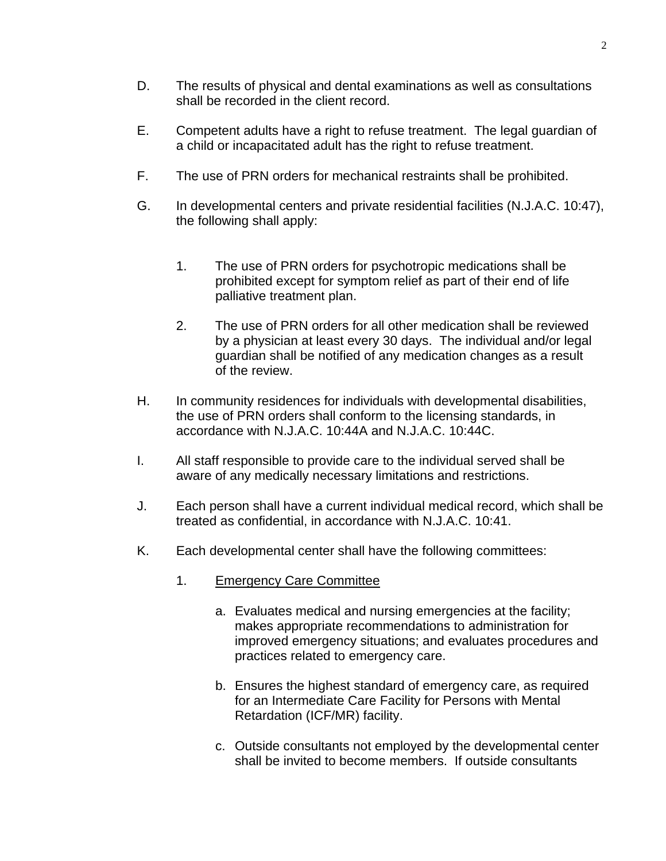- D. The results of physical and dental examinations as well as consultations shall be recorded in the client record.
- E. Competent adults have a right to refuse treatment. The legal guardian of a child or incapacitated adult has the right to refuse treatment.
- F. The use of PRN orders for mechanical restraints shall be prohibited.
- G. In developmental centers and private residential facilities (N.J.A.C. 10:47), the following shall apply:
	- 1. The use of PRN orders for psychotropic medications shall be prohibited except for symptom relief as part of their end of life palliative treatment plan.
	- 2. The use of PRN orders for all other medication shall be reviewed by a physician at least every 30 days. The individual and/or legal guardian shall be notified of any medication changes as a result of the review.
- H. In community residences for individuals with developmental disabilities, the use of PRN orders shall conform to the licensing standards, in accordance with N.J.A.C. 10:44A and N.J.A.C. 10:44C.
- I. All staff responsible to provide care to the individual served shall be aware of any medically necessary limitations and restrictions.
- J. Each person shall have a current individual medical record, which shall be treated as confidential, in accordance with N.J.A.C. 10:41.
- K. Each developmental center shall have the following committees:
	- 1. Emergency Care Committee
		- a. Evaluates medical and nursing emergencies at the facility; makes appropriate recommendations to administration for improved emergency situations; and evaluates procedures and practices related to emergency care.
		- b. Ensures the highest standard of emergency care, as required for an Intermediate Care Facility for Persons with Mental Retardation (ICF/MR) facility.
		- c. Outside consultants not employed by the developmental center shall be invited to become members. If outside consultants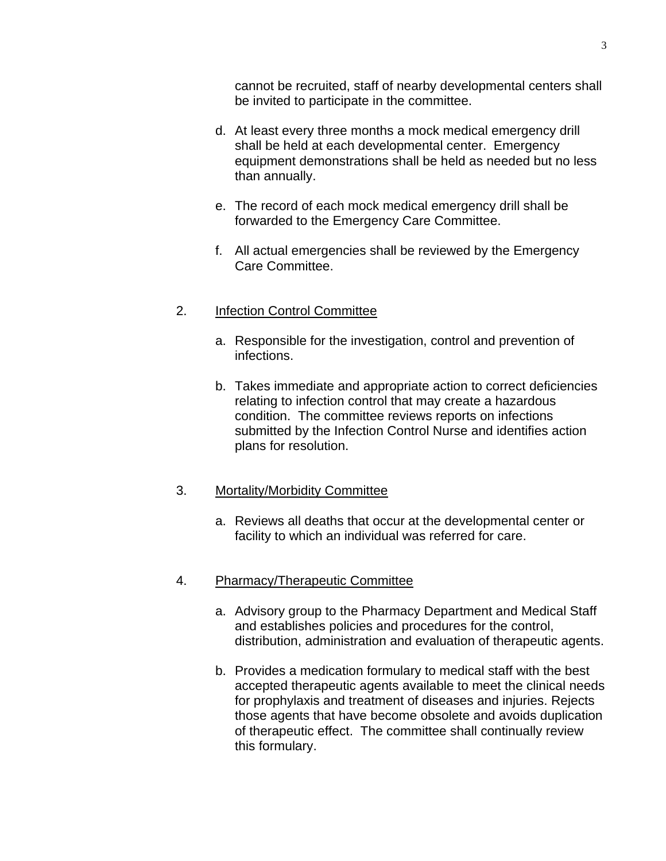cannot be recruited, staff of nearby developmental centers shall be invited to participate in the committee.

- d. At least every three months a mock medical emergency drill shall be held at each developmental center. Emergency equipment demonstrations shall be held as needed but no less than annually.
- e. The record of each mock medical emergency drill shall be forwarded to the Emergency Care Committee.
- f. All actual emergencies shall be reviewed by the Emergency Care Committee.

## 2. Infection Control Committee

- a. Responsible for the investigation, control and prevention of infections.
- b. Takes immediate and appropriate action to correct deficiencies relating to infection control that may create a hazardous condition. The committee reviews reports on infections submitted by the Infection Control Nurse and identifies action plans for resolution.

### 3. Mortality/Morbidity Committee

a. Reviews all deaths that occur at the developmental center or facility to which an individual was referred for care.

### 4. Pharmacy/Therapeutic Committee

- a. Advisory group to the Pharmacy Department and Medical Staff and establishes policies and procedures for the control, distribution, administration and evaluation of therapeutic agents.
- b. Provides a medication formulary to medical staff with the best accepted therapeutic agents available to meet the clinical needs for prophylaxis and treatment of diseases and injuries. Rejects those agents that have become obsolete and avoids duplication of therapeutic effect. The committee shall continually review this formulary.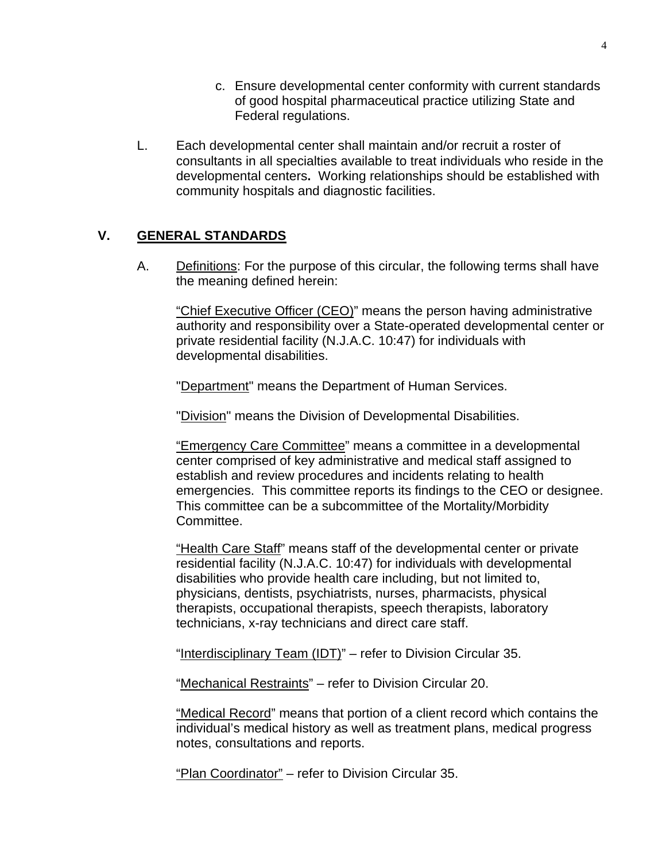- c. Ensure developmental center conformity with current standards of good hospital pharmaceutical practice utilizing State and Federal regulations.
- L. Each developmental center shall maintain and/or recruit a roster of consultants in all specialties available to treat individuals who reside in the developmental centers**.** Working relationships should be established with community hospitals and diagnostic facilities.

## **V. GENERAL STANDARDS**

A. Definitions: For the purpose of this circular, the following terms shall have the meaning defined herein:

"Chief Executive Officer (CEO)" means the person having administrative authority and responsibility over a State-operated developmental center or private residential facility (N.J.A.C. 10:47) for individuals with developmental disabilities.

"Department" means the Department of Human Services.

"Division" means the Division of Developmental Disabilities.

"Emergency Care Committee" means a committee in a developmental center comprised of key administrative and medical staff assigned to establish and review procedures and incidents relating to health emergencies. This committee reports its findings to the CEO or designee. This committee can be a subcommittee of the Mortality/Morbidity Committee.

"Health Care Staff" means staff of the developmental center or private residential facility (N.J.A.C. 10:47) for individuals with developmental disabilities who provide health care including, but not limited to, physicians, dentists, psychiatrists, nurses, pharmacists, physical therapists, occupational therapists, speech therapists, laboratory technicians, x-ray technicians and direct care staff.

"Interdisciplinary Team (IDT)" - refer to Division Circular 35.

"Mechanical Restraints" – refer to Division Circular 20.

"Medical Record" means that portion of a client record which contains the individual's medical history as well as treatment plans, medical progress notes, consultations and reports.

"Plan Coordinator" – refer to Division Circular 35.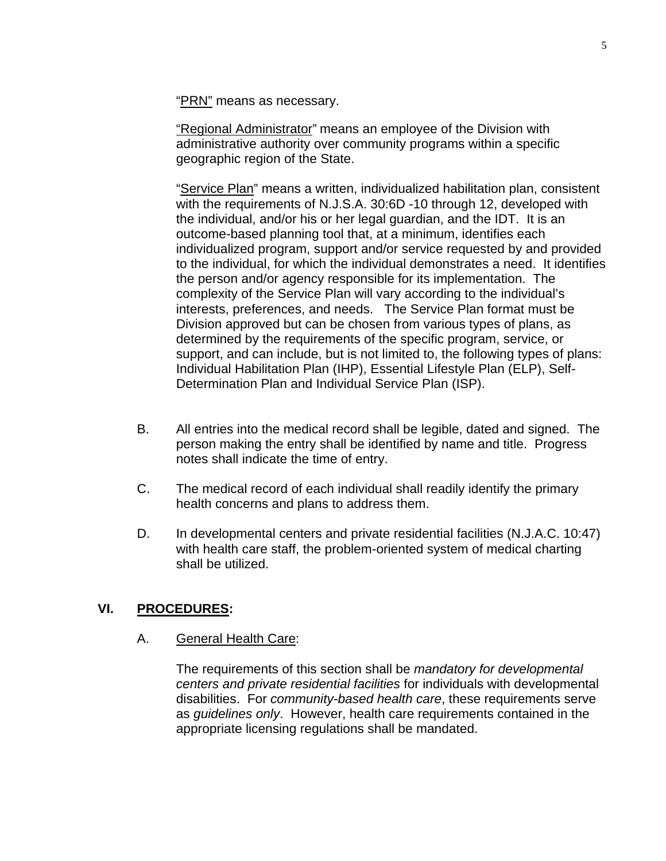"**PRN**" means as necessary.

"Regional Administrator" means an employee of the Division with administrative authority over community programs within a specific geographic region of the State.

"Service Plan" means a written, individualized habilitation plan, consistent with the requirements of N.J.S.A. 30:6D -10 through 12, developed with the individual, and/or his or her legal guardian, and the IDT. It is an outcome-based planning tool that, at a minimum, identifies each individualized program, support and/or service requested by and provided to the individual, for which the individual demonstrates a need. It identifies the person and/or agency responsible for its implementation. The complexity of the Service Plan will vary according to the individual's interests, preferences, and needs. The Service Plan format must be Division approved but can be chosen from various types of plans, as determined by the requirements of the specific program, service, or support, and can include, but is not limited to, the following types of plans: Individual Habilitation Plan (IHP), Essential Lifestyle Plan (ELP), Self-Determination Plan and Individual Service Plan (ISP).

- B. All entries into the medical record shall be legible, dated and signed. The person making the entry shall be identified by name and title. Progress notes shall indicate the time of entry.
- C. The medical record of each individual shall readily identify the primary health concerns and plans to address them.
- D. In developmental centers and private residential facilities (N.J.A.C. 10:47) with health care staff, the problem-oriented system of medical charting shall be utilized.

### **VI. PROCEDURES:**

#### A. General Health Care:

The requirements of this section shall be *mandatory for developmental centers and private residential facilities* for individuals with developmental disabilities. For *community-based health care*, these requirements serve as *guidelines only*. However, health care requirements contained in the appropriate licensing regulations shall be mandated.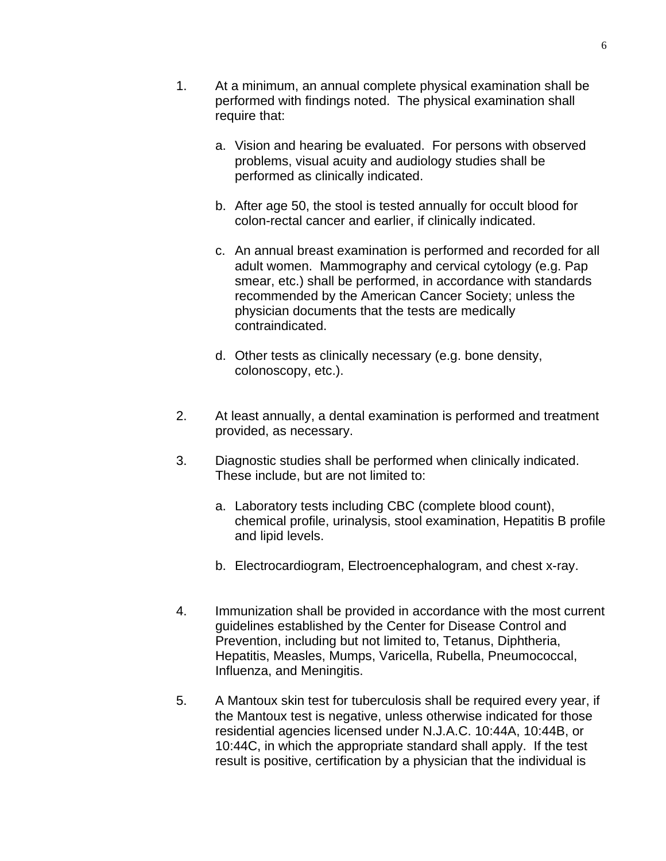- 1. At a minimum, an annual complete physical examination shall be performed with findings noted. The physical examination shall require that:
	- a. Vision and hearing be evaluated. For persons with observed problems, visual acuity and audiology studies shall be performed as clinically indicated.
	- b. After age 50, the stool is tested annually for occult blood for colon-rectal cancer and earlier, if clinically indicated.
	- c. An annual breast examination is performed and recorded for all adult women. Mammography and cervical cytology (e.g. Pap smear, etc.) shall be performed, in accordance with standards recommended by the American Cancer Society; unless the physician documents that the tests are medically contraindicated.
	- d. Other tests as clinically necessary (e.g. bone density, colonoscopy, etc.).
- 2. At least annually, a dental examination is performed and treatment provided, as necessary.
- 3. Diagnostic studies shall be performed when clinically indicated. These include, but are not limited to:
	- a. Laboratory tests including CBC (complete blood count), chemical profile, urinalysis, stool examination, Hepatitis B profile and lipid levels.
	- b. Electrocardiogram, Electroencephalogram, and chest x-ray.
- 4. Immunization shall be provided in accordance with the most current guidelines established by the Center for Disease Control and Prevention, including but not limited to, Tetanus, Diphtheria, Hepatitis, Measles, Mumps, Varicella, Rubella, Pneumococcal, Influenza, and Meningitis.
- 5. A Mantoux skin test for tuberculosis shall be required every year, if the Mantoux test is negative, unless otherwise indicated for those residential agencies licensed under N.J.A.C. 10:44A, 10:44B, or 10:44C, in which the appropriate standard shall apply. If the test result is positive, certification by a physician that the individual is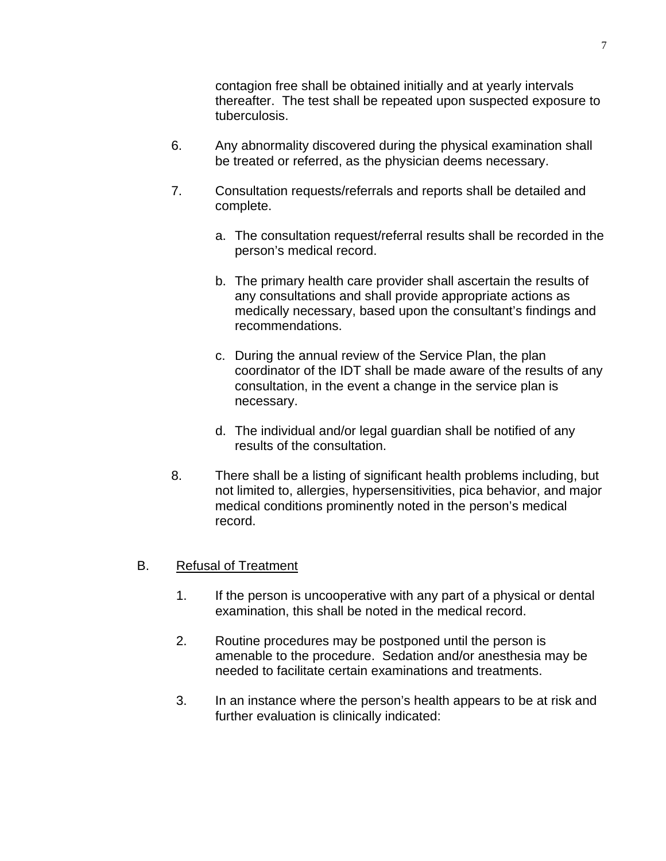contagion free shall be obtained initially and at yearly intervals thereafter. The test shall be repeated upon suspected exposure to tuberculosis.

- 6. Any abnormality discovered during the physical examination shall be treated or referred, as the physician deems necessary.
- 7. Consultation requests/referrals and reports shall be detailed and complete.
	- a. The consultation request/referral results shall be recorded in the person's medical record.
	- b. The primary health care provider shall ascertain the results of any consultations and shall provide appropriate actions as medically necessary, based upon the consultant's findings and recommendations.
	- c. During the annual review of the Service Plan, the plan coordinator of the IDT shall be made aware of the results of any consultation, in the event a change in the service plan is necessary.
	- d. The individual and/or legal guardian shall be notified of any results of the consultation.
- 8. There shall be a listing of significant health problems including, but not limited to, allergies, hypersensitivities, pica behavior, and major medical conditions prominently noted in the person's medical record.

# B. Refusal of Treatment

- 1. If the person is uncooperative with any part of a physical or dental examination, this shall be noted in the medical record.
- 2. Routine procedures may be postponed until the person is amenable to the procedure. Sedation and/or anesthesia may be needed to facilitate certain examinations and treatments.
- 3. In an instance where the person's health appears to be at risk and further evaluation is clinically indicated: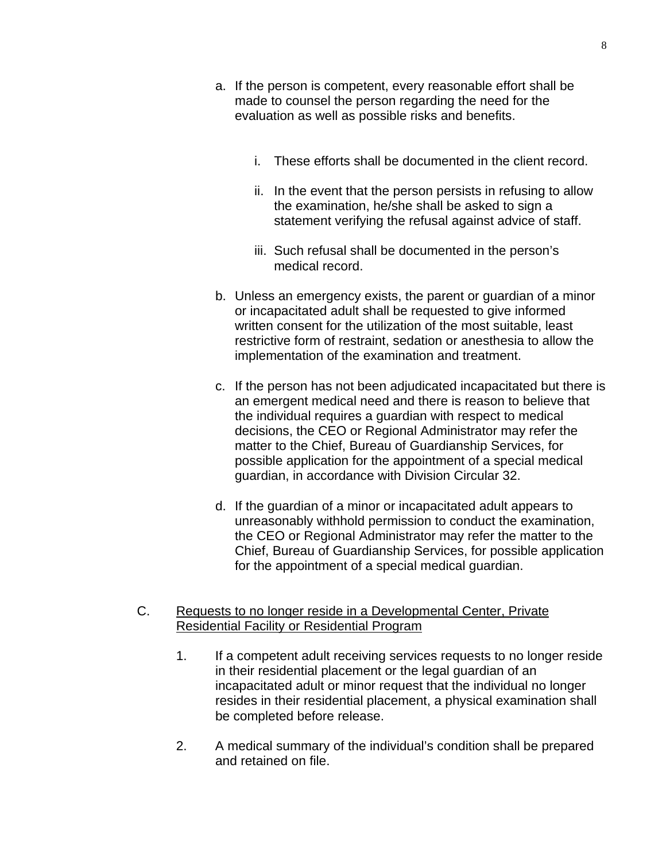- a. If the person is competent, every reasonable effort shall be made to counsel the person regarding the need for the evaluation as well as possible risks and benefits.
	- i. These efforts shall be documented in the client record.
	- ii. In the event that the person persists in refusing to allow the examination, he/she shall be asked to sign a statement verifying the refusal against advice of staff.
	- iii. Such refusal shall be documented in the person's medical record.
- b. Unless an emergency exists, the parent or guardian of a minor or incapacitated adult shall be requested to give informed written consent for the utilization of the most suitable, least restrictive form of restraint, sedation or anesthesia to allow the implementation of the examination and treatment.
- c. If the person has not been adjudicated incapacitated but there is an emergent medical need and there is reason to believe that the individual requires a guardian with respect to medical decisions, the CEO or Regional Administrator may refer the matter to the Chief, Bureau of Guardianship Services, for possible application for the appointment of a special medical guardian, in accordance with Division Circular 32.
- d. If the guardian of a minor or incapacitated adult appears to unreasonably withhold permission to conduct the examination, the CEO or Regional Administrator may refer the matter to the Chief, Bureau of Guardianship Services, for possible application for the appointment of a special medical guardian.
- C. Requests to no longer reside in a Developmental Center, Private Residential Facility or Residential Program
	- 1. If a competent adult receiving services requests to no longer reside in their residential placement or the legal guardian of an incapacitated adult or minor request that the individual no longer resides in their residential placement, a physical examination shall be completed before release.
	- 2. A medical summary of the individual's condition shall be prepared and retained on file.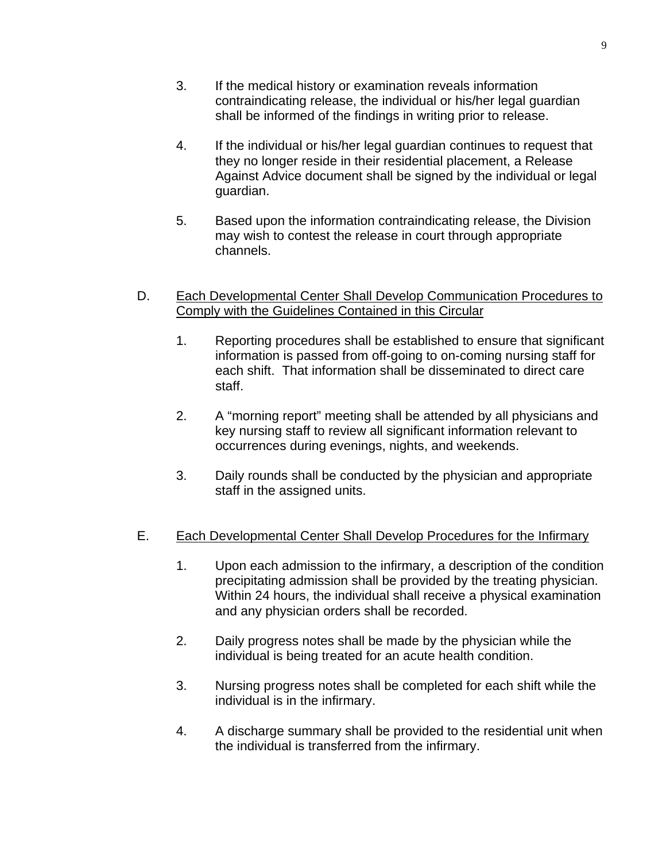9

- 3. If the medical history or examination reveals information contraindicating release, the individual or his/her legal guardian shall be informed of the findings in writing prior to release.
- 4. If the individual or his/her legal guardian continues to request that they no longer reside in their residential placement, a Release Against Advice document shall be signed by the individual or legal guardian.
- 5. Based upon the information contraindicating release, the Division may wish to contest the release in court through appropriate channels.
- D. Each Developmental Center Shall Develop Communication Procedures to Comply with the Guidelines Contained in this Circular
	- 1. Reporting procedures shall be established to ensure that significant information is passed from off-going to on-coming nursing staff for each shift. That information shall be disseminated to direct care staff.
	- 2. A "morning report" meeting shall be attended by all physicians and key nursing staff to review all significant information relevant to occurrences during evenings, nights, and weekends.
	- 3. Daily rounds shall be conducted by the physician and appropriate staff in the assigned units.
- E. Each Developmental Center Shall Develop Procedures for the Infirmary
	- 1. Upon each admission to the infirmary, a description of the condition precipitating admission shall be provided by the treating physician. Within 24 hours, the individual shall receive a physical examination and any physician orders shall be recorded.
	- 2. Daily progress notes shall be made by the physician while the individual is being treated for an acute health condition.
	- 3. Nursing progress notes shall be completed for each shift while the individual is in the infirmary.
	- 4. A discharge summary shall be provided to the residential unit when the individual is transferred from the infirmary.